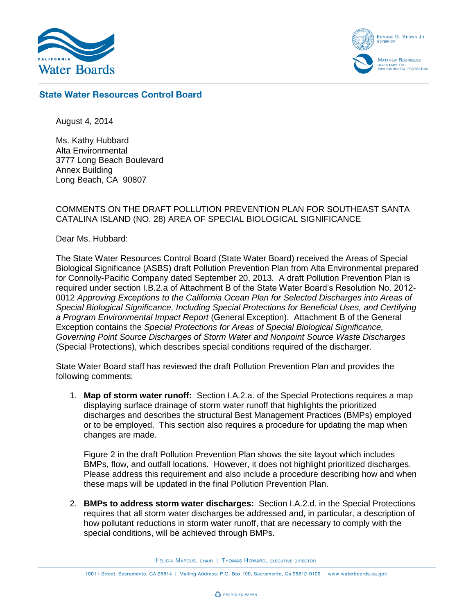

EDMUND G. BROWN JR. **MATTHEW RODRIQUEZ** SECRETARY FOR<br>:NVIRONMENTAL PROTECTION

## **State Water Resources Control Board**

August 4, 2014

Ms. Kathy Hubbard Alta Environmental 3777 Long Beach Boulevard Annex Building Long Beach, CA 90807

## COMMENTS ON THE DRAFT POLLUTION PREVENTION PLAN FOR SOUTHEAST SANTA CATALINA ISLAND (NO. 28) AREA OF SPECIAL BIOLOGICAL SIGNIFICANCE

Dear Ms. Hubbard:

The State Water Resources Control Board (State Water Board) received the Areas of Special Biological Significance (ASBS) draft Pollution Prevention Plan from Alta Environmental prepared for Connolly-Pacific Company dated September 20, 2013. A draft Pollution Prevention Plan is required under section I.B.2.a of Attachment B of the State Water Board's Resolution No. 2012- 0012 *Approving Exceptions to the California Ocean Plan for Selected Discharges into Areas of Special Biological Significance, Including Special Protections for Beneficial Uses, and Certifying a Program Environmental Impact Report* (General Exception). Attachment B of the General Exception contains the *Special Protections for Areas of Special Biological Significance, Governing Point Source Discharges of Storm Water and Nonpoint Source Waste Discharges* (Special Protections), which describes special conditions required of the discharger.

State Water Board staff has reviewed the draft Pollution Prevention Plan and provides the following comments:

1. **Map of storm water runoff:** Section I.A.2.a. of the Special Protections requires a map displaying surface drainage of storm water runoff that highlights the prioritized discharges and describes the structural Best Management Practices (BMPs) employed or to be employed. This section also requires a procedure for updating the map when changes are made.

Figure 2 in the draft Pollution Prevention Plan shows the site layout which includes BMPs, flow, and outfall locations. However, it does not highlight prioritized discharges. Please address this requirement and also include a procedure describing how and when these maps will be updated in the final Pollution Prevention Plan.

2. **BMPs to address storm water discharges:** Section I.A.2.d. in the Special Protections requires that all storm water discharges be addressed and, in particular, a description of how pollutant reductions in storm water runoff, that are necessary to comply with the special conditions, will be achieved through BMPs.

FELICIA MARCUS, CHAIR | THOMAS HOWARD, EXECUTIVE DIRECTOR

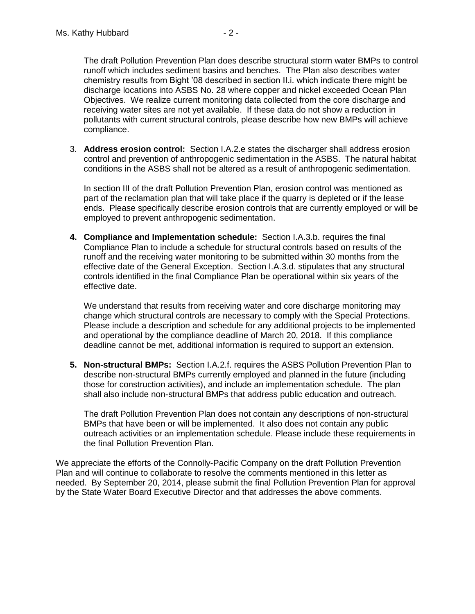The draft Pollution Prevention Plan does describe structural storm water BMPs to control runoff which includes sediment basins and benches. The Plan also describes water chemistry results from Bight '08 described in section II.i. which indicate there might be discharge locations into ASBS No. 28 where copper and nickel exceeded Ocean Plan Objectives. We realize current monitoring data collected from the core discharge and receiving water sites are not yet available. If these data do not show a reduction in pollutants with current structural controls, please describe how new BMPs will achieve compliance.

3. **Address erosion control:** Section I.A.2.e states the discharger shall address erosion control and prevention of anthropogenic sedimentation in the ASBS. The natural habitat conditions in the ASBS shall not be altered as a result of anthropogenic sedimentation.

In section III of the draft Pollution Prevention Plan, erosion control was mentioned as part of the reclamation plan that will take place if the quarry is depleted or if the lease ends. Please specifically describe erosion controls that are currently employed or will be employed to prevent anthropogenic sedimentation.

**4. Compliance and Implementation schedule:** Section I.A.3.b. requires the final Compliance Plan to include a schedule for structural controls based on results of the runoff and the receiving water monitoring to be submitted within 30 months from the effective date of the General Exception. Section I.A.3.d. stipulates that any structural controls identified in the final Compliance Plan be operational within six years of the effective date.

We understand that results from receiving water and core discharge monitoring may change which structural controls are necessary to comply with the Special Protections. Please include a description and schedule for any additional projects to be implemented and operational by the compliance deadline of March 20, 2018. If this compliance deadline cannot be met, additional information is required to support an extension.

**5. Non-structural BMPs:** Section I.A.2.f. requires the ASBS Pollution Prevention Plan to describe non-structural BMPs currently employed and planned in the future (including those for construction activities), and include an implementation schedule. The plan shall also include non-structural BMPs that address public education and outreach.

The draft Pollution Prevention Plan does not contain any descriptions of non-structural BMPs that have been or will be implemented. It also does not contain any public outreach activities or an implementation schedule. Please include these requirements in the final Pollution Prevention Plan.

We appreciate the efforts of the Connolly-Pacific Company on the draft Pollution Prevention Plan and will continue to collaborate to resolve the comments mentioned in this letter as needed. By September 20, 2014, please submit the final Pollution Prevention Plan for approval by the State Water Board Executive Director and that addresses the above comments.